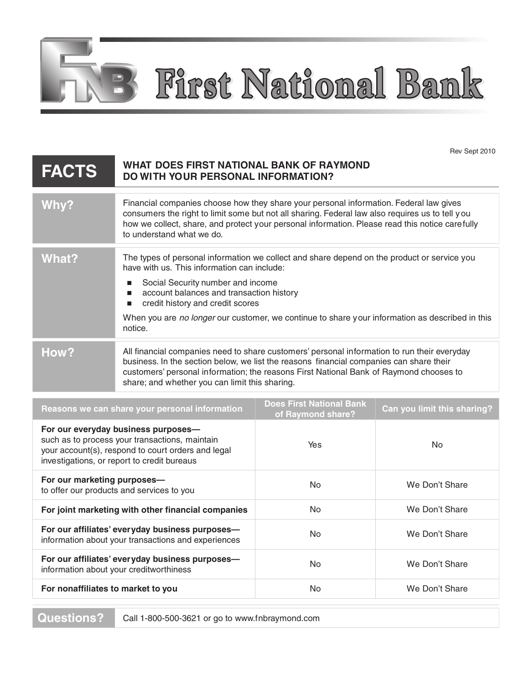First National Bank

Rev Sept 2010

| <b>FACTS</b>                                                                                                                                                                               | WHAT DOES FIRST NATIONAL BANK OF RAYMOND<br><b>DO WITH YOUR PERSONAL INFORMATION?</b>                                                                                                                                                                                                                                                                                                        |                                                      |                             |
|--------------------------------------------------------------------------------------------------------------------------------------------------------------------------------------------|----------------------------------------------------------------------------------------------------------------------------------------------------------------------------------------------------------------------------------------------------------------------------------------------------------------------------------------------------------------------------------------------|------------------------------------------------------|-----------------------------|
| <b>Why?</b>                                                                                                                                                                                | Financial companies choose how they share your personal information. Federal law gives<br>consumers the right to limit some but not all sharing. Federal law also requires us to tell you<br>how we collect, share, and protect your personal information. Please read this notice carefully<br>to understand what we do.                                                                    |                                                      |                             |
| <b>What?</b>                                                                                                                                                                               | The types of personal information we collect and share depend on the product or service you<br>have with us. This information can include:<br>Social Security number and income<br>п<br>account balances and transaction history<br>п<br>credit history and credit scores<br>п<br>When you are no longer our customer, we continue to share your information as described in this<br>notice. |                                                      |                             |
| How?                                                                                                                                                                                       | All financial companies need to share customers' personal information to run their everyday<br>business. In the section below, we list the reasons financial companies can share their<br>customers' personal information; the reasons First National Bank of Raymond chooses to<br>share; and whether you can limit this sharing.                                                           |                                                      |                             |
| Reasons we can share your personal information                                                                                                                                             |                                                                                                                                                                                                                                                                                                                                                                                              | <b>Does First National Bank</b><br>of Raymond share? | Can you limit this sharing? |
| For our everyday business purposes-<br>such as to process your transactions, maintain<br>your account(s), respond to court orders and legal<br>investigations, or report to credit bureaus |                                                                                                                                                                                                                                                                                                                                                                                              | Yes                                                  | No                          |
| For our marketing purposes-<br>to offer our products and services to you                                                                                                                   |                                                                                                                                                                                                                                                                                                                                                                                              | No.                                                  | We Don't Share              |
| For joint marketing with other financial companies                                                                                                                                         |                                                                                                                                                                                                                                                                                                                                                                                              | No                                                   | We Don't Share              |
| For our affiliates' everyday business purposes-<br>information about your transactions and experiences                                                                                     |                                                                                                                                                                                                                                                                                                                                                                                              | No                                                   | We Don't Share              |
| For our affiliates' everyday business purposes-<br>information about your creditworthiness                                                                                                 |                                                                                                                                                                                                                                                                                                                                                                                              | No                                                   | We Don't Share              |
| For nonaffiliates to market to you                                                                                                                                                         |                                                                                                                                                                                                                                                                                                                                                                                              | No.                                                  | We Don't Share              |

B

**Questions?** Call 1-800-500-3621 or go to www.fnbraymond.com